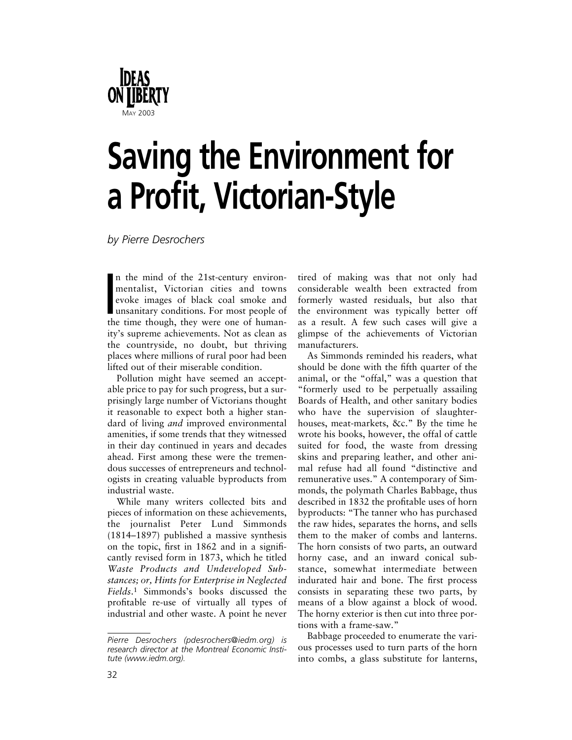

## **Saving the Environment for a Profit, Victorian-Style**

*by Pierre Desrochers*

mentalist, Victorian cities and towns<br>
evoke images of black coal smoke and<br>
unsanitary conditions. For most people of<br>
the time though, they were one of humann the mind of the 21st-century environmentalist, Victorian cities and towns evoke images of black coal smoke and unsanitary conditions. For most people of ity's supreme achievements. Not as clean as the countryside, no doubt, but thriving places where millions of rural poor had been lifted out of their miserable condition.

Pollution might have seemed an acceptable price to pay for such progress, but a surprisingly large number of Victorians thought it reasonable to expect both a higher standard of living *and* improved environmental amenities, if some trends that they witnessed in their day continued in years and decades ahead. First among these were the tremendous successes of entrepreneurs and technologists in creating valuable byproducts from industrial waste.

While many writers collected bits and pieces of information on these achievements, the journalist Peter Lund Simmonds (1814–1897) published a massive synthesis on the topic, first in 1862 and in a significantly revised form in 1873, which he titled *Waste Products and Undeveloped Substances; or, Hints for Enterprise in Neglected Fields*.1 Simmonds's books discussed the profitable re-use of virtually all types of industrial and other waste. A point he never

tired of making was that not only had considerable wealth been extracted from formerly wasted residuals, but also that the environment was typically better off as a result. A few such cases will give a glimpse of the achievements of Victorian manufacturers.

As Simmonds reminded his readers, what should be done with the fifth quarter of the animal, or the "offal," was a question that "formerly used to be perpetually assailing Boards of Health, and other sanitary bodies who have the supervision of slaughterhouses, meat-markets, &c." By the time he wrote his books, however, the offal of cattle suited for food, the waste from dressing skins and preparing leather, and other animal refuse had all found "distinctive and remunerative uses." A contemporary of Simmonds, the polymath Charles Babbage, thus described in 1832 the profitable uses of horn byproducts: "The tanner who has purchased the raw hides, separates the horns, and sells them to the maker of combs and lanterns. The horn consists of two parts, an outward horny case, and an inward conical substance, somewhat intermediate between indurated hair and bone. The first process consists in separating these two parts, by means of a blow against a block of wood. The horny exterior is then cut into three portions with a frame-saw."

Babbage proceeded to enumerate the various processes used to turn parts of the horn into combs, a glass substitute for lanterns,

*Pierre Desrochers (pdesrochers@iedm.org) is research director at the Montreal Economic Institute (www.iedm.org).*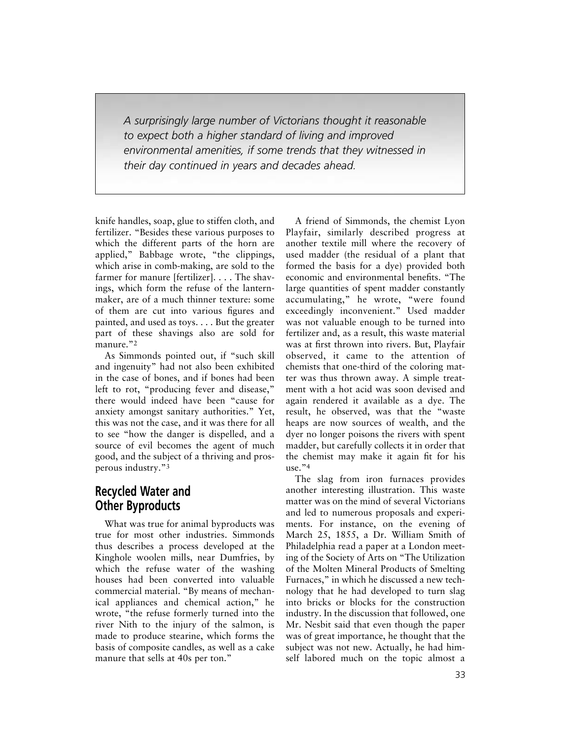*A surprisingly large number of Victorians thought it reasonable to expect both a higher standard of living and improved environmental amenities, if some trends that they witnessed in their day continued in years and decades ahead.*

knife handles, soap, glue to stiffen cloth, and fertilizer. "Besides these various purposes to which the different parts of the horn are applied," Babbage wrote, "the clippings, which arise in comb-making, are sold to the farmer for manure [fertilizer]. . . . The shavings, which form the refuse of the lanternmaker, are of a much thinner texture: some of them are cut into various figures and painted, and used as toys. . . . But the greater part of these shavings also are sold for manure."<sup>2</sup>

As Simmonds pointed out, if "such skill and ingenuity" had not also been exhibited in the case of bones, and if bones had been left to rot, "producing fever and disease," there would indeed have been "cause for anxiety amongst sanitary authorities." Yet, this was not the case, and it was there for all to see "how the danger is dispelled, and a source of evil becomes the agent of much good, and the subject of a thriving and prosperous industry."3

## **Recycled Water and Other Byproducts**

What was true for animal byproducts was true for most other industries. Simmonds thus describes a process developed at the Kinghole woolen mills, near Dumfries, by which the refuse water of the washing houses had been converted into valuable commercial material. "By means of mechanical appliances and chemical action," he wrote, "the refuse formerly turned into the river Nith to the injury of the salmon, is made to produce stearine, which forms the basis of composite candles, as well as a cake manure that sells at 40s per ton."

A friend of Simmonds, the chemist Lyon Playfair, similarly described progress at another textile mill where the recovery of used madder (the residual of a plant that formed the basis for a dye) provided both economic and environmental benefits. "The large quantities of spent madder constantly accumulating," he wrote, "were found exceedingly inconvenient." Used madder was not valuable enough to be turned into fertilizer and, as a result, this waste material was at first thrown into rivers. But, Playfair observed, it came to the attention of chemists that one-third of the coloring matter was thus thrown away. A simple treatment with a hot acid was soon devised and again rendered it available as a dye. The result, he observed, was that the "waste heaps are now sources of wealth, and the dyer no longer poisons the rivers with spent madder, but carefully collects it in order that the chemist may make it again fit for his use."4

The slag from iron furnaces provides another interesting illustration. This waste matter was on the mind of several Victorians and led to numerous proposals and experiments. For instance, on the evening of March 25, 1855, a Dr. William Smith of Philadelphia read a paper at a London meeting of the Society of Arts on "The Utilization of the Molten Mineral Products of Smelting Furnaces," in which he discussed a new technology that he had developed to turn slag into bricks or blocks for the construction industry. In the discussion that followed, one Mr. Nesbit said that even though the paper was of great importance, he thought that the subject was not new. Actually, he had himself labored much on the topic almost a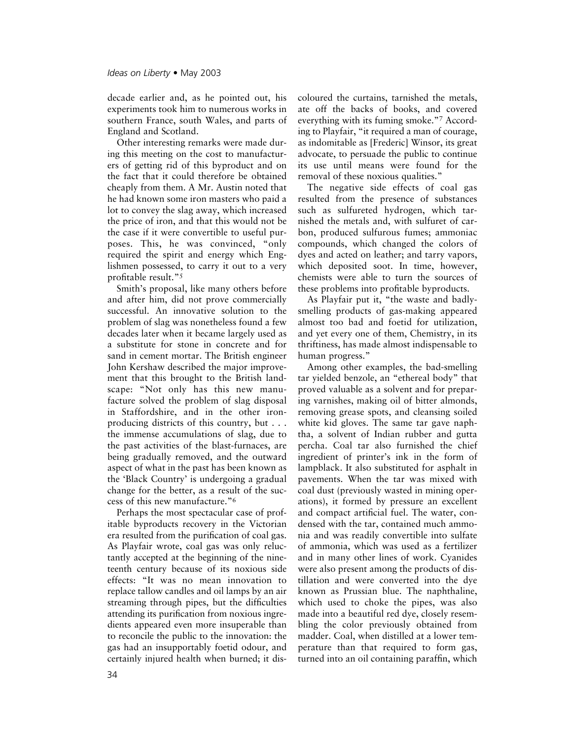decade earlier and, as he pointed out, his experiments took him to numerous works in southern France, south Wales, and parts of England and Scotland.

Other interesting remarks were made during this meeting on the cost to manufacturers of getting rid of this byproduct and on the fact that it could therefore be obtained cheaply from them. A Mr. Austin noted that he had known some iron masters who paid a lot to convey the slag away, which increased the price of iron, and that this would not be the case if it were convertible to useful purposes. This, he was convinced, "only required the spirit and energy which Englishmen possessed, to carry it out to a very profitable result."5

Smith's proposal, like many others before and after him, did not prove commercially successful. An innovative solution to the problem of slag was nonetheless found a few decades later when it became largely used as a substitute for stone in concrete and for sand in cement mortar. The British engineer John Kershaw described the major improvement that this brought to the British landscape: "Not only has this new manufacture solved the problem of slag disposal in Staffordshire, and in the other ironproducing districts of this country, but . . . the immense accumulations of slag, due to the past activities of the blast-furnaces, are being gradually removed, and the outward aspect of what in the past has been known as the 'Black Country' is undergoing a gradual change for the better, as a result of the success of this new manufacture."6

Perhaps the most spectacular case of profitable byproducts recovery in the Victorian era resulted from the purification of coal gas. As Playfair wrote, coal gas was only reluctantly accepted at the beginning of the nineteenth century because of its noxious side effects: "It was no mean innovation to replace tallow candles and oil lamps by an air streaming through pipes, but the difficulties attending its purification from noxious ingredients appeared even more insuperable than to reconcile the public to the innovation: the gas had an insupportably foetid odour, and certainly injured health when burned; it discoloured the curtains, tarnished the metals, ate off the backs of books, and covered everything with its fuming smoke."7 According to Playfair, "it required a man of courage, as indomitable as [Frederic] Winsor, its great advocate, to persuade the public to continue its use until means were found for the removal of these noxious qualities."

The negative side effects of coal gas resulted from the presence of substances such as sulfureted hydrogen, which tarnished the metals and, with sulfuret of carbon, produced sulfurous fumes; ammoniac compounds, which changed the colors of dyes and acted on leather; and tarry vapors, which deposited soot. In time, however, chemists were able to turn the sources of these problems into profitable byproducts.

As Playfair put it, "the waste and badlysmelling products of gas-making appeared almost too bad and foetid for utilization, and yet every one of them, Chemistry, in its thriftiness, has made almost indispensable to human progress."

Among other examples, the bad-smelling tar yielded benzole, an "ethereal body" that proved valuable as a solvent and for preparing varnishes, making oil of bitter almonds, removing grease spots, and cleansing soiled white kid gloves. The same tar gave naphtha, a solvent of Indian rubber and gutta percha. Coal tar also furnished the chief ingredient of printer's ink in the form of lampblack. It also substituted for asphalt in pavements. When the tar was mixed with coal dust (previously wasted in mining operations), it formed by pressure an excellent and compact artificial fuel. The water, condensed with the tar, contained much ammonia and was readily convertible into sulfate of ammonia, which was used as a fertilizer and in many other lines of work. Cyanides were also present among the products of distillation and were converted into the dye known as Prussian blue. The naphthaline, which used to choke the pipes, was also made into a beautiful red dye, closely resembling the color previously obtained from madder. Coal, when distilled at a lower temperature than that required to form gas, turned into an oil containing paraffin, which